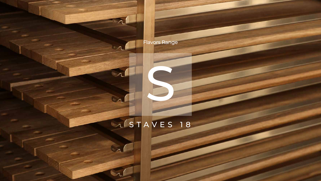S

## A STAVES 18





 $\Lambda$ 

 $\overline{\phantom{a}}$ 

 $\lceil \Lambda \rceil$ 

 $\sqrt{ }$